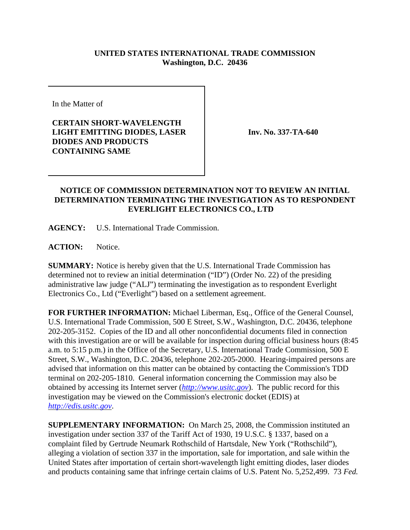## **UNITED STATES INTERNATIONAL TRADE COMMISSION Washington, D.C. 20436**

In the Matter of

**CERTAIN SHORT-WAVELENGTH LIGHT EMITTING DIODES, LASER DIODES AND PRODUCTS CONTAINING SAME**

**Inv. No. 337-TA-640**

## **NOTICE OF COMMISSION DETERMINATION NOT TO REVIEW AN INITIAL DETERMINATION TERMINATING THE INVESTIGATION AS TO RESPONDENT EVERLIGHT ELECTRONICS CO., LTD**

**AGENCY:** U.S. International Trade Commission.

**ACTION:** Notice.

**SUMMARY:** Notice is hereby given that the U.S. International Trade Commission has determined not to review an initial determination ("ID") (Order No. 22) of the presiding administrative law judge ("ALJ") terminating the investigation as to respondent Everlight Electronics Co., Ltd ("Everlight") based on a settlement agreement.

**FOR FURTHER INFORMATION:** Michael Liberman, Esq., Office of the General Counsel, U.S. International Trade Commission, 500 E Street, S.W., Washington, D.C. 20436, telephone 202-205-3152. Copies of the ID and all other nonconfidential documents filed in connection with this investigation are or will be available for inspection during official business hours (8:45) a.m. to 5:15 p.m.) in the Office of the Secretary, U.S. International Trade Commission, 500 E Street, S.W., Washington, D.C. 20436, telephone 202-205-2000. Hearing-impaired persons are advised that information on this matter can be obtained by contacting the Commission's TDD terminal on 202-205-1810. General information concerning the Commission may also be obtained by accessing its Internet server (*http://www.usitc.gov*). The public record for this investigation may be viewed on the Commission's electronic docket (EDIS) at *http://edis.usitc.gov*.

**SUPPLEMENTARY INFORMATION:** On March 25, 2008, the Commission instituted an investigation under section 337 of the Tariff Act of 1930, 19 U.S.C. § 1337, based on a complaint filed by Gertrude Neumark Rothschild of Hartsdale, New York ("Rothschild"), alleging a violation of section 337 in the importation, sale for importation, and sale within the United States after importation of certain short-wavelength light emitting diodes, laser diodes and products containing same that infringe certain claims of U.S. Patent No. 5,252,499. 73 *Fed.*